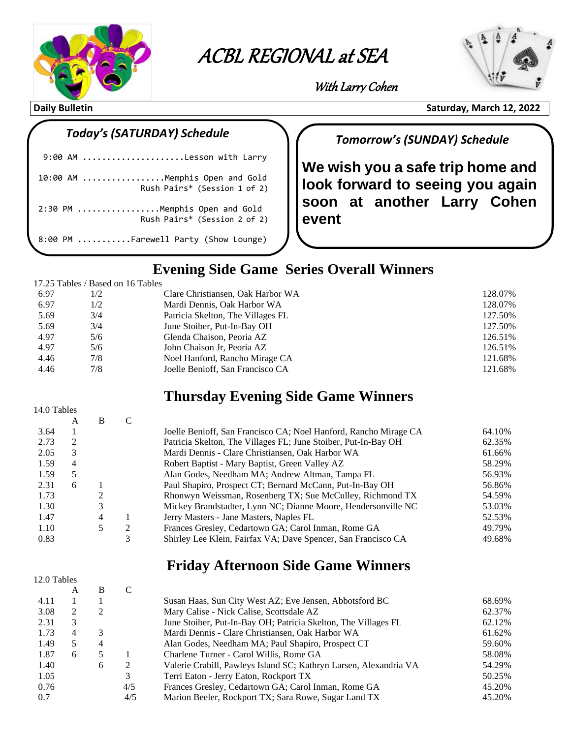

# **ACBL Regional at Sea with Larry Cohen** ACBL REGIONAL at SEA

 $\overline{\phantom{a}}$ 



With Larry Cohen

**Daily Bulletin** Saturday, March 12, 2022

12.0 Tables

#### *Today's (SATURDAY) Schedule*

| 9:00 AM Lesson with Larry                                      |
|----------------------------------------------------------------|
| 10:00 AM Memphis Open and Gold<br>Rush Pairs* (Session 1 of 2) |
| 2:30 PM Memphis Open and Gold<br>Rush Pairs* (Session 2 of 2)  |
| 8:00 PM Farewell Party (Show Lounge)                           |

### *Tomorrow's (SUNDAY) Schedule*

**We wish you a safe trip home and look forward to seeing you again soon at another Larry Cohen event**

### **Evening Side Game Series Overall Winners**

#### 17.25 Tables / Based on 16 Tables

| 6.97 | 1/2 | Clare Christiansen, Oak Harbor WA | 128.07% |
|------|-----|-----------------------------------|---------|
| 6.97 | 1/2 | Mardi Dennis, Oak Harbor WA       | 128.07% |
| 5.69 | 3/4 | Patricia Skelton, The Villages FL | 127.50% |
| 5.69 | 3/4 | June Stoiber, Put-In-Bay OH       | 127.50% |
| 4.97 | 5/6 | Glenda Chaison, Peoria AZ         | 126.51% |
| 4.97 | 5/6 | John Chaison Jr, Peoria AZ        | 126.51% |
| 4.46 | 7/8 | Noel Hanford, Rancho Mirage CA    | 121.68% |
| 4.46 | 7/8 | Joelle Benioff, San Francisco CA  | 121.68% |

### **Thursday Evening Side Game Winners**

| 14.0 Tables |   |   |   |                                                                  |        |
|-------------|---|---|---|------------------------------------------------------------------|--------|
|             | A | B |   |                                                                  |        |
| 3.64        |   |   |   | Joelle Benioff, San Francisco CA; Noel Hanford, Rancho Mirage CA | 64.10% |
| 2.73        | 2 |   |   | Patricia Skelton, The Villages FL; June Stoiber, Put-In-Bay OH   | 62.35% |
| 2.05        | 3 |   |   | Mardi Dennis - Clare Christiansen, Oak Harbor WA                 | 61.66% |
| 1.59        | 4 |   |   | Robert Baptist - Mary Baptist, Green Valley AZ                   | 58.29% |
| 1.59        | 5 |   |   | Alan Godes, Needham MA; Andrew Altman, Tampa FL                  | 56.93% |
| 2.31        | 6 |   |   | Paul Shapiro, Prospect CT; Bernard McCann, Put-In-Bay OH         | 56.86% |
| 1.73        |   |   |   | Rhonwyn Weissman, Rosenberg TX; Sue McCulley, Richmond TX        | 54.59% |
| 1.30        |   | 3 |   | Mickey Brandstadter, Lynn NC; Dianne Moore, Hendersonville NC    | 53.03% |
| 1.47        |   | 4 |   | Jerry Masters - Jane Masters, Naples FL                          | 52.53% |
| 1.10        |   | 5 | 2 | Frances Gresley, Cedartown GA; Carol Inman, Rome GA              | 49.79% |
| 0.83        |   |   | 3 | Shirley Lee Klein, Fairfax VA; Dave Spencer, San Francisco CA    | 49.68% |

#### **Friday Afternoon Side Game Winners**

|      | А  | B              |     |                                                                   |        |
|------|----|----------------|-----|-------------------------------------------------------------------|--------|
| 4.11 |    |                |     | Susan Haas, Sun City West AZ; Eve Jensen, Abbotsford BC           | 68.69% |
| 3.08 | 2  | 2              |     | Mary Calise - Nick Calise, Scottsdale AZ                          | 62.37% |
| 2.31 | 3  |                |     | June Stoiber, Put-In-Bay OH; Patricia Skelton, The Villages FL    | 62.12% |
| 1.73 | 4  | 3              |     | Mardi Dennis - Clare Christiansen, Oak Harbor WA                  | 61.62% |
| 1.49 | 5. | $\overline{4}$ |     | Alan Godes, Needham MA; Paul Shapiro, Prospect CT                 | 59.60% |
| 1.87 | 6  | 5              |     | Charlene Turner - Carol Willis, Rome GA                           | 58.08% |
| 1.40 |    | 6              | 2   | Valerie Crabill, Pawleys Island SC; Kathryn Larsen, Alexandria VA | 54.29% |
| 1.05 |    |                | 3   | Terri Eaton - Jerry Eaton, Rockport TX                            | 50.25% |
| 0.76 |    |                | 4/5 | Frances Gresley, Cedartown GA; Carol Inman, Rome GA               | 45.20% |
| 0.7  |    |                | 4/5 | Marion Beeler, Rockport TX; Sara Rowe, Sugar Land TX              | 45.20% |